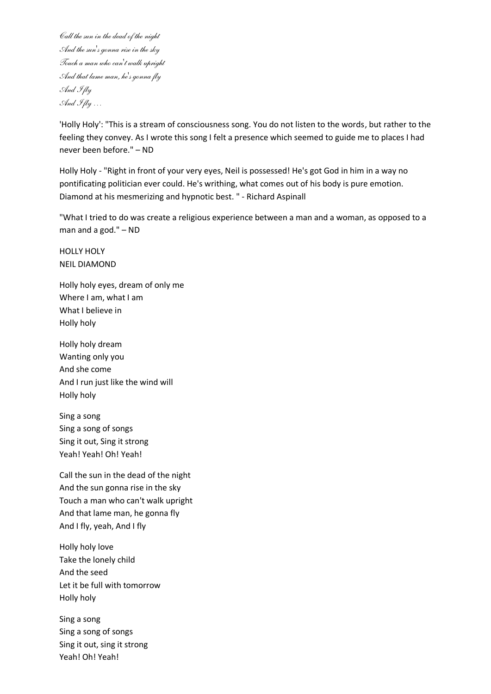*Call the sun in the dead of the night And the sun's gonna rise in the sky Touch a man who can't walk upright And that lame man, he's gonna fly And I fly And I fly …*

'Holly Holy': "This is a stream of consciousness song. You do not listen to the words, but rather to the feeling they convey. As I wrote this song I felt a presence which seemed to guide me to places I had never been before." – ND

Holly Holy - "Right in front of your very eyes, Neil is possessed! He's got God in him in a way no pontificating politician ever could. He's writhing, what comes out of his body is pure emotion. Diamond at his mesmerizing and hypnotic best. " - Richard Aspinall

"What I tried to do was create a religious experience between a man and a woman, as opposed to a man and a god." – ND

HOLLY HOLY NEIL DIAMOND

Holly holy eyes, dream of only me Where I am, what I am What I believe in Holly holy

Holly holy dream Wanting only you And she come And I run just like the wind will Holly holy

Sing a song Sing a song of songs Sing it out, Sing it strong Yeah! Yeah! Oh! Yeah!

Call the sun in the dead of the night And the sun gonna rise in the sky Touch a man who can't walk upright And that lame man, he gonna fly And I fly, yeah, And I fly

Holly holy love Take the lonely child And the seed Let it be full with tomorrow Holly holy

Sing a song Sing a song of songs Sing it out, sing it strong Yeah! Oh! Yeah!